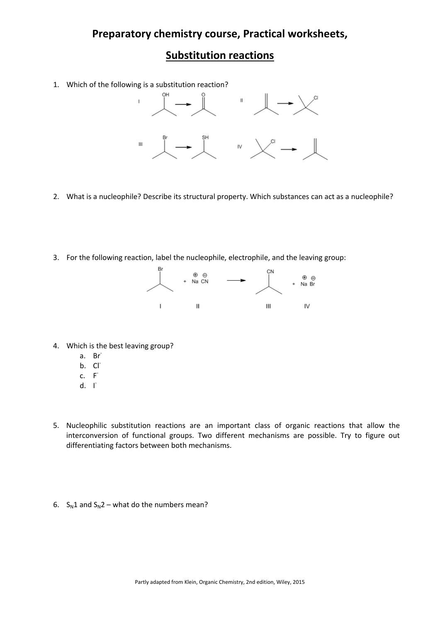## **Preparatory chemistry course, Practical worksheets,**

## **Substitution reactions**

1. Which of the following is a substitution reaction?



- 2. What is a nucleophile? Describe its structural property. Which substances can act as a nucleophile?
- 3. For the following reaction, label the nucleophile, electrophile, and the leaving group:



- 4. Which is the best leaving group?
	- a. Br‐
	- b. Cl
	- $c. F<sup>+</sup>$
	- $d. \quad \Gamma$
- 5. Nucleophilic substitution reactions are an important class of organic reactions that allow the interconversion of functional groups. Two different mechanisms are possible. Try to figure out differentiating factors between both mechanisms.
- 6.  $S_N1$  and  $S_N2$  what do the numbers mean?